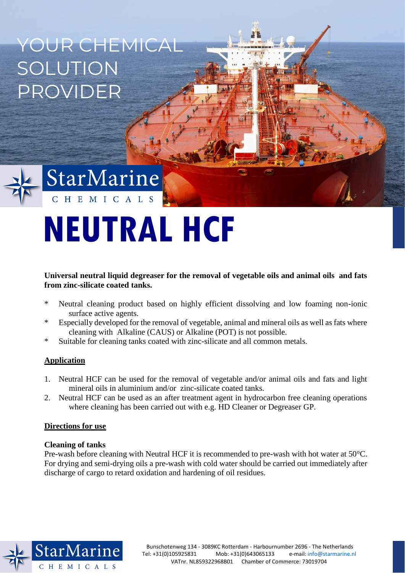YOUR CHEMICAL **SOLUTION** PROVIDER



# StarMarine CHEMICALS

# **NEUTRAL HCF**

# **Universal neutral liquid degreaser for the removal of vegetable oils and animal oils and fats from zinc-silicate coated tanks.**

- \* Neutral cleaning product based on highly efficient dissolving and low foaming non-ionic surface active agents.
- \* Especially developed for the removal of vegetable, animal and mineral oils as well as fats where cleaning with Alkaline (CAUS) or Alkaline (POT) is not possible.
- \* Suitable for cleaning tanks coated with zinc-silicate and all common metals.

# **Application**

- 1. Neutral HCF can be used for the removal of vegetable and/or animal oils and fats and light mineral oils in aluminium and/or zinc-silicate coated tanks.
- 2. Neutral HCF can be used as an after treatment agent in hydrocarbon free cleaning operations where cleaning has been carried out with e.g. HD Cleaner or Degreaser GP.

# **Directions for use**

# **Cleaning of tanks**

Pre-wash before cleaning with Neutral HCF it is recommended to pre-wash with hot water at 50°C. For drying and semi-drying oils a pre-wash with cold water should be carried out immediately after discharge of cargo to retard oxidation and hardening of oil residues.